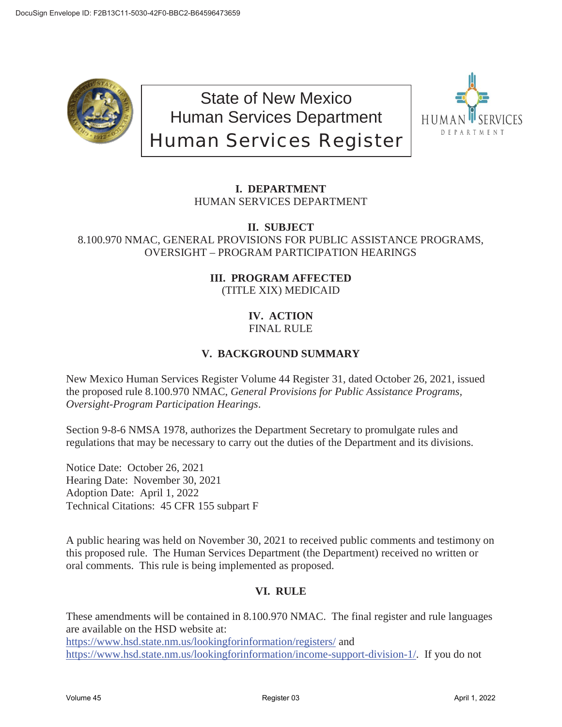

State of New Mexico Human Services Department Human Services Register



## **I. DEPARTMENT**  HUMAN SERVICES DEPARTMENT

#### **II. SUBJECT**  8.100.970 NMAC, GENERAL PROVISIONS FOR PUBLIC ASSISTANCE PROGRAMS, OVERSIGHT – PROGRAM PARTICIPATION HEARINGS

## **III. PROGRAM AFFECTED**  (TITLE XIX) MEDICAID

### **IV. ACTION**  FINAL RULE

# **V. BACKGROUND SUMMARY**

New Mexico Human Services Register Volume 44 Register 31, dated October 26, 2021, issued the proposed rule 8.100.970 NMAC, *General Provisions for Public Assistance Programs, Oversight-Program Participation Hearings*.

Section 9-8-6 NMSA 1978, authorizes the Department Secretary to promulgate rules and regulations that may be necessary to carry out the duties of the Department and its divisions.

Notice Date: October 26, 2021 Hearing Date: November 30, 2021 Adoption Date: April 1, 2022 Technical Citations: 45 CFR 155 subpart F

A public hearing was held on November 30, 2021 to received public comments and testimony on this proposed rule. The Human Services Department (the Department) received no written or oral comments. This rule is being implemented as proposed.

## **VI. RULE**

These amendments will be contained in 8.100.970 NMAC. The final register and rule languages are available on the HSD website at: https://www.hsd.state.nm.us/lookingforinformation/registers/ and https://www.hsd.state.nm.us/lookingforinformation/income-support-division-1/. If you do not